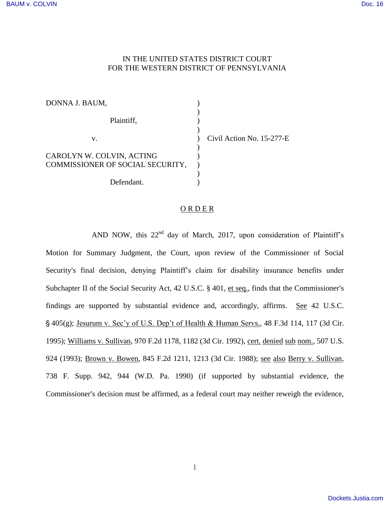## IN THE UNITED STATES DISTRICT COURT FOR THE WESTERN DISTRICT OF PENNSYLVANIA

| DONNA J. BAUM,                                                |                           |
|---------------------------------------------------------------|---------------------------|
| Plaintiff,                                                    |                           |
| v.                                                            | Civil Action No. 15-277-E |
| CAROLYN W. COLVIN, ACTING<br>COMMISSIONER OF SOCIAL SECURITY, |                           |
| Defendant.                                                    |                           |

## ORDER

AND NOW, this  $22<sup>nd</sup>$  day of March, 2017, upon consideration of Plaintiff's Motion for Summary Judgment, the Court, upon review of the Commissioner of Social Security's final decision, denying Plaintiff's claim for disability insurance benefits under Subchapter II of the Social Security Act,  $42$  U.S.C. §  $401$ , et seq., finds that the Commissioner's findings are supported by substantial evidence and, accordingly, affirms. See 42 U.S.C.  $\hat{S}$  405(g); Jesurum v. Sec'y of U.S. Dep't of Health & Human Servs., 48 F.3d 114, 117 (3d Cir. 1995); Williams v. Sullivan, 970 F.2d 1178, 1182 (3d Cir. 1992), cert. denied sub nom., 507 U.S. 924 (1993); Brown v. Bowen, 845 F.2d 1211, 1213 (3d Cir. 1988); see also Berry v. Sullivan, 738 F. Supp. 942, 944 (W.D. Pa. 1990) (if supported by substantial evidence, the Commissioner's decision must be affirmed, as a federal court may neither reweigh the evidence,

1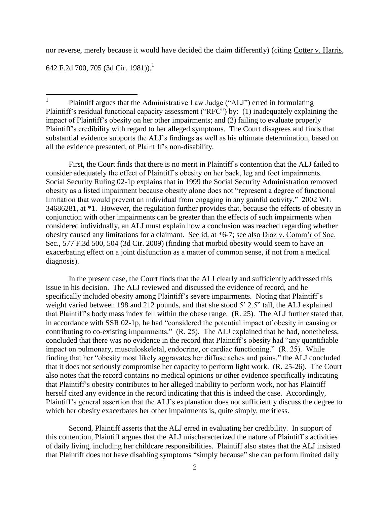nor reverse, merely because it would have decided the claim differently) (citing Cotter v. Harris,

642 F.2d 700, 705 (3d Cir. 1981)).<sup>1</sup>

|<br>|<br>| Plaintiff argues that the Administrative Law Judge ("ALJ") erred in formulating Plaintiff's residual functional capacity assessment ("RFC") by: (1) inadequately explaining the impact of Plaintiff's obesity on her other impairments; and (2) failing to evaluate properly Plaintiff's credibility with regard to her alleged symptoms. The Court disagrees and finds that substantial evidence supports the ALJ's findings as well as his ultimate determination, based on all the evidence presented, of Plaintiff's non-disability.

 First, the Court finds that there is no merit in Plaintiff's contention that the ALJ failed to consider adequately the effect of Plaintiff's obesity on her back, leg and foot impairments. Social Security Ruling 02-1p explains that in 1999 the Social Security Administration removed obesity as a listed impairment because obesity alone does not "represent a degree of functional limitation that would prevent an individual from engaging in any gainful activity." 2002 WL 34686281, at \*1. However, the regulation further provides that, because the effects of obesity in conjunction with other impairments can be greater than the effects of such impairments when considered individually, an ALJ must explain how a conclusion was reached regarding whether obesity caused any limitations for a claimant. See id. at \*6-7; see also Diaz v. Comm'r of Soc. Sec., 577 F.3d 500, 504 (3d Cir. 2009) (finding that morbid obesity would seem to have an exacerbating effect on a joint disfunction as a matter of common sense, if not from a medical diagnosis).

 In the present case, the Court finds that the ALJ clearly and sufficiently addressed this issue in his decision. The ALJ reviewed and discussed the evidence of record, and he specifically included obesity among Plaintiff's severe impairments. Noting that Plaintiff's weight varied between 198 and 212 pounds, and that she stood 5' 2.5" tall, the ALJ explained that Plaintiff's body mass index fell within the obese range. (R. 25). The ALJ further stated that, in accordance with SSR 02-1p, he had "considered the potential impact of obesity in causing or contributing to co-existing impairments." (R. 25). The ALJ explained that he had, nonetheless, concluded that there was no evidence in the record that Plaintiff's obesity had "any quantifiable impact on pulmonary, musculoskeletal, endocrine, or cardiac functioning." (R. 25). While finding that her "obesity most likely aggravates her diffuse aches and pains," the ALJ concluded that it does not seriously compromise her capacity to perform light work. (R. 25-26). The Court also notes that the record contains no medical opinions or other evidence specifically indicating that Plaintiff's obesity contributes to her alleged inability to perform work, nor has Plaintiff herself cited any evidence in the record indicating that this is indeed the case. Accordingly, Plaintiff's general assertion that the ALJ's explanation does not sufficiently discuss the degree to which her obesity exacerbates her other impairments is, quite simply, meritless.

 Second, Plaintiff asserts that the ALJ erred in evaluating her credibility. In support of this contention, Plaintiff argues that the ALJ mischaracterized the nature of Plaintiff's activities of daily living, including her childcare responsibilities. Plaintiff also states that the ALJ insisted that Plaintiff does not have disabling symptoms "simply because" she can perform limited daily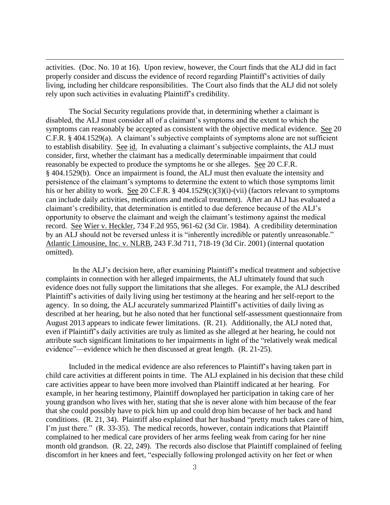activities. (Doc. No. 10 at 16). Upon review, however, the Court finds that the ALJ did in fact properly consider and discuss the evidence of record regarding Plaintiff's activities of daily living, including her childcare responsibilities. The Court also finds that the ALJ did not solely rely upon such activities in evaluating Plaintiff's credibility.

 $\overline{a}$ 

The Social Security regulations provide that, in determining whether a claimant is disabled, the ALJ must consider all of a claimant's symptoms and the extent to which the symptoms can reasonably be accepted as consistent with the objective medical evidence. See 20 C.F.R. § 404.1529(a). A claimant's subjective complaints of symptoms alone are not sufficient to establish disability. See id. In evaluating a claimant's subjective complaints, the ALJ must consider, first, whether the claimant has a medically determinable impairment that could reasonably be expected to produce the symptoms he or she alleges. See 20 C.F.R. § 404.1529(b). Once an impairment is found, the ALJ must then evaluate the intensity and persistence of the claimant's symptoms to determine the extent to which those symptoms limit his or her ability to work. See 20 C.F.R. § 404.1529(c)(3)(i)-(vii) (factors relevant to symptoms can include daily activities, medications and medical treatment). After an ALJ has evaluated a claimant's credibility, that determination is entitled to due deference because of the ALJ's opportunity to observe the claimant and weigh the claimant's testimony against the medical record. See Wier v. Heckler, 734 F.2d 955, 961-62 (3d Cir. 1984). A credibility determination by an ALJ should not be reversed unless it is "inherently incredible or patently unreasonable." Atlantic Limousine, Inc. v. NLRB, 243 F.3d 711, 718-19 (3d Cir. 2001) (internal quotation omitted).

 In the ALJ's decision here, after examining Plaintiff's medical treatment and subjective complaints in connection with her alleged impairments, the ALJ ultimately found that such evidence does not fully support the limitations that she alleges. For example, the ALJ described Plaintiff's activities of daily living using her testimony at the hearing and her self-report to the agency. In so doing, the ALJ accurately summarized Plaintiff's activities of daily living as described at her hearing, but he also noted that her functional self-assessment questionnaire from August 2013 appears to indicate fewer limitations. (R. 21). Additionally, the ALJ noted that, even if Plaintiff's daily activities are truly as limited as she alleged at her hearing, he could not attribute such significant limitations to her impairments in light of the "relatively weak medical evidence"—evidence which he then discussed at great length. (R. 21-25).

Included in the medical evidence are also references to Plaintiff's having taken part in child care activities at different points in time. The ALJ explained in his decision that these child care activities appear to have been more involved than Plaintiff indicated at her hearing. For example, in her hearing testimony, Plaintiff downplayed her participation in taking care of her young grandson who lives with her, stating that she is never alone with him because of the fear that she could possibly have to pick him up and could drop him because of her back and hand conditions. (R. 21, 34). Plaintiff also explained that her husband "pretty much takes care of him, I'm just there." (R. 33-35). The medical records, however, contain indications that Plaintiff complained to her medical care providers of her arms feeling weak from caring for her nine month old grandson. (R. 22, 249). The records also disclose that Plaintiff complained of feeling discomfort in her knees and feet, "especially following prolonged activity on her feet or when